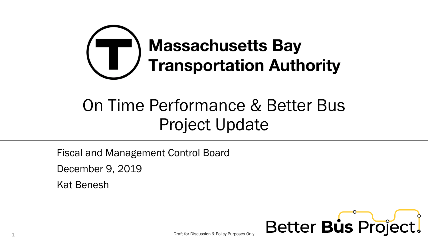

# On Time Performance & Better Bus Project Update

Fiscal and Management Control Board

December 9, 2019

Kat Benesh

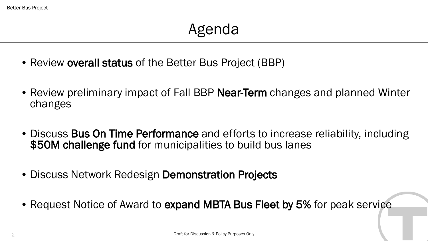- Review **overall status** of the Better Bus Project (BBP)
- Review preliminary impact of Fall BBP Near-Term changes and planned Winter changes
- Discuss Bus On Time Performance and efforts to increase reliability, including \$50M challenge fund for municipalities to build bus lanes
- Discuss Network Redesign Demonstration Projects
- Request Notice of Award to expand MBTA Bus Fleet by 5% for peak service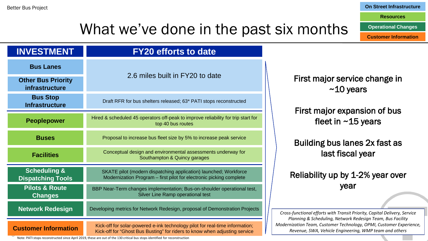#### **On Street Infrastructure**

**Resources**

**Operational Changes**

**Customer Information**

### What we've done in the past six months

| <b>INVESTMENT</b>                                   | <b>FY20 efforts to date</b>                                                                                                                                |
|-----------------------------------------------------|------------------------------------------------------------------------------------------------------------------------------------------------------------|
| <b>Bus Lanes</b>                                    |                                                                                                                                                            |
| <b>Other Bus Priority</b><br>infrastructure         | 2.6 miles built in FY20 to date                                                                                                                            |
| <b>Bus Stop</b><br><b>Infrastructure</b>            | Draft RFR for bus shelters released; 63* PATI stops reconstructed                                                                                          |
| <b>Peoplepower</b>                                  | Hired & scheduled 45 operators off-peak to improve reliability for trip start for<br>top 40 bus routes                                                     |
| <b>Buses</b>                                        | Proposal to increase bus fleet size by 5% to increase peak service                                                                                         |
| <b>Facilities</b>                                   | Conceptual design and environmental assessments underway for<br>Southampton & Quincy garages                                                               |
| <b>Scheduling &amp;</b><br><b>Dispatching Tools</b> | SKATE pilot (modern dispatching application) launched; Workforce<br>Modernization Program - first pilot for electronic picking complete                    |
| <b>Pilots &amp; Route</b><br><b>Changes</b>         | BBP Near-Term changes implementation; Bus-on-shoulder operational test,<br>Silver Line Ramp operational test                                               |
| <b>Network Redesign</b>                             | Developing metrics for Network Redesign, proposal of Demonstration Projects                                                                                |
| <b>Customer Information</b>                         | Kick-off for solar-powered e-ink technology pilot for real-time information;<br>Kick-off for "Ghost Bus Busting" for riders to know when adjusting service |

Solution on Orlock Dust Dus Dusting for Hotels to Khow when adjusting service.<br>Note: PATI stops reconstructed since April 2019, these are out of the 130 critical bus stops identified for reconstruction

First major service change in ~10 years

First major expansion of bus fleet in  $~15$  years

Building bus lanes 2x fast as last fiscal year

Reliability up by 1-2% year over year

*Cross-functional efforts with Transit Priority, Capital Delivery, Service Planning & Scheduling, Network Redesign Team, Bus Facility Modernization Team, Customer Technology, OPMI, Customer Experience, Revenue, SWA, Vehicle Engineering, WMP team and others*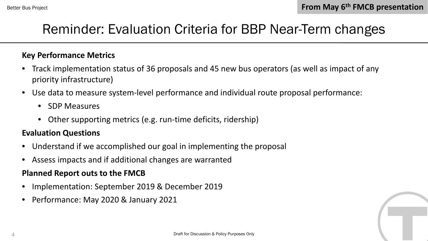### Reminder: Evaluation Criteria for BBP Near-Term changes

#### **Key Performance Metrics**

- Track implementation status of 36 proposals and 45 new bus operators (as well as impact of any priority infrastructure)
- Use data to measure system-level performance and individual route proposal performance:
	- SDP Measures
	- Other supporting metrics (e.g. run-time deficits, ridership)

#### **Evaluation Questions**

- Understand if we accomplished our goal in implementing the proposal
- Assess impacts and if additional changes are warranted

#### **Planned Report outs to the FMCB**

- Implementation: September 2019 & December 2019
- Performance: May 2020 & January 2021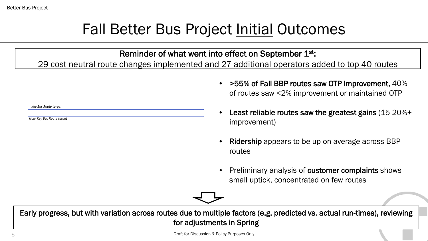*Key Bus Route target*

*Non- Key Bus Route target*

### Fall Better Bus Project Initial Outcomes

Reminder of what went into effect on September 1st:

29 cost neutral route changes implemented and 27 additional operators added to top 40 routes

• >55% of Fall BBP routes saw OTP improvement, 40% of routes saw <2% improvement or maintained OTP

• Least reliable routes saw the greatest gains (15-20%+ improvement)

- Ridership appears to be up on average across BBP routes
- Preliminary analysis of customer complaints shows small uptick, concentrated on few routes

Early progress, but with variation across routes due to multiple factors (e.g. predicted vs. actual run-times), reviewing for adjustments in Spring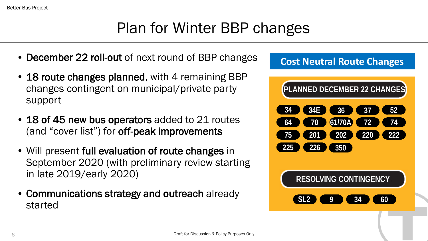Better Bus Project

### Plan for Winter BBP changes

- **December 22 roll-out of next round of BBP changes**
- 18 route changes planned, with 4 remaining BBP changes contingent on municipal/private party support
- 18 of 45 new bus operators added to 21 routes (and "cover list") for **off-peak improvements**
- Will present full evaluation of route changes in September 2020 (with preliminary review starting in late 2019/early 2020)
- Communications strategy and outreach already started

### **Cost Neutral Route Changes**

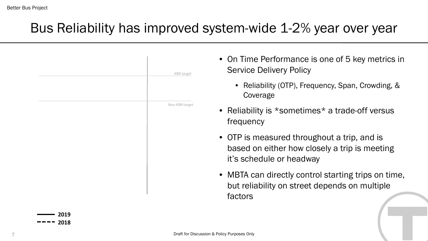### Bus Reliability has improved system-wide 1-2% year over year

|      | <b>KBR</b> target | • On Time Performance is one of 5 key metrics in<br><b>Service Delivery Policy</b>                                       |
|------|-------------------|--------------------------------------------------------------------------------------------------------------------------|
|      |                   | • Reliability (OTP), Frequency, Span, Crowding, &<br>Coverage                                                            |
|      | Non-KBR target    | • Reliability is *sometimes* a trade-off versus<br>frequency                                                             |
|      |                   | • OTP is measured throughout a trip, and is<br>based on either how closely a trip is meeting<br>it's schedule or headway |
|      |                   | • MBTA can directly control starting trips on time,<br>but reliability on street depends on multiple<br>factors          |
| 2019 |                   |                                                                                                                          |



**2018**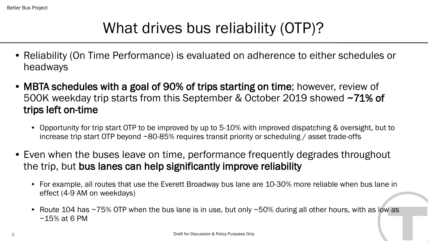## What drives bus reliability (OTP)?

- Reliability (On Time Performance) is evaluated on adherence to either schedules or headways
- MBTA schedules with a goal of 90% of trips starting on time; however, review of 500K weekday trip starts from this September & October 2019 showed ~71% of trips left on-time
	- Opportunity for trip start OTP to be improved by up to 5-10% with improved dispatching & oversight, but to increase trip start OTP beyond ~80-85% requires transit priority or scheduling / asset trade-offs
- Even when the buses leave on time, performance frequently degrades throughout the trip, but bus lanes can help significantly improve reliability
	- For example, all routes that use the Everett Broadway bus lane are 10-30% more reliable when bus lane in effect (4-9 AM on weekdays)
	- Route 104 has ~75% OTP when the bus lane is in use, but only ~50% during all other hours, with as low as ~15% at 6 PM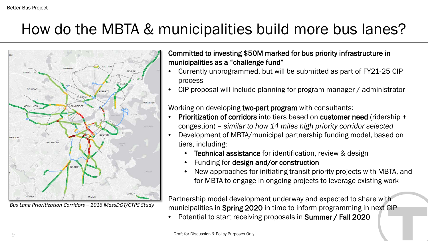### How do the MBTA & municipalities build more bus lanes?



*Bus Lane Prioritization Corridors – 2016 MassDOT/CTPS Study*

#### Committed to investing \$50M marked for bus priority infrastructure in municipalities as a "challenge fund"

- Currently unprogrammed, but will be submitted as part of FY21-25 CIP process
- CIP proposal will include planning for program manager / administrator

Working on developing two-part program with consultants:

- Prioritization of corridors into tiers based on customer need (ridership + congestion) – *similar to how 14 miles high priority corridor selected*
- Development of MBTA/municipal partnership funding model, based on tiers, including:
	- **Technical assistance** for identification, review & design
	- Funding for design and/or construction
	- New approaches for initiating transit priority projects with MBTA, and for MBTA to engage in ongoing projects to leverage existing work

Partnership model development underway and expected to share with municipalities in Spring 2020 in time to inform programming in next CIP

• Potential to start receiving proposals in Summer / Fall 2020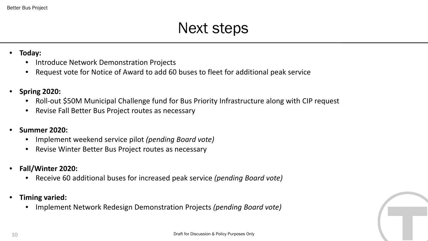### Next steps

- **Today:**
	- Introduce Network Demonstration Projects
	- Request vote for Notice of Award to add 60 buses to fleet for additional peak service
- **Spring 2020:**
	- Roll-out \$50M Municipal Challenge fund for Bus Priority Infrastructure along with CIP request
	- Revise Fall Better Bus Project routes as necessary
- **Summer 2020:**
	- Implement weekend service pilot *(pending Board vote)*
	- Revise Winter Better Bus Project routes as necessary
- **Fall/Winter 2020:**
	- Receive 60 additional buses for increased peak service *(pending Board vote)*
- **Timing varied:**
	- Implement Network Redesign Demonstration Projects *(pending Board vote)*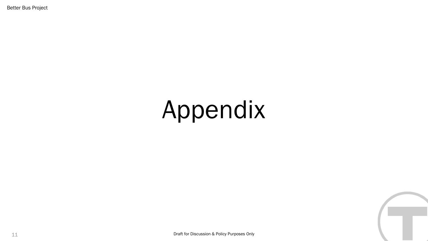Better Bus Project

# Appendix

11 Draft for Discussion & Policy Purposes Only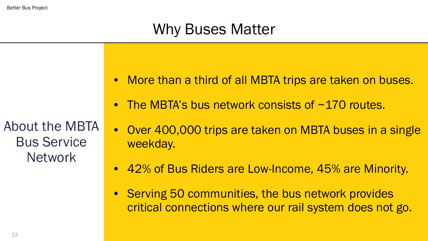### Why Buses Matter

About the MBTA Bus Service **Network** 

- More than a third of all MBTA trips are taken on buses.
- The MBTA's bus network consists of  $\sim$ 170 routes.
- Over 400,000 trips are taken on MBTA buses in a single weekday.
- 42% of Bus Riders are Low-Income, 45% are Minority.
- Serving 50 communities, the bus network provides critical connections where our rail system does not go.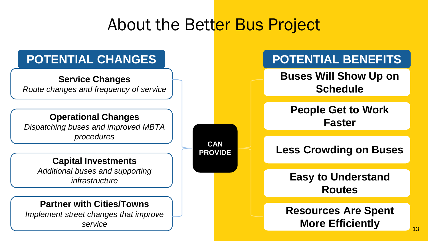### About the Better Bus Project

**CAN** 

**PROVIDE**

### **POTENTIAL CHANGES**

#### **Service Changes**

*Route changes and frequency of service*

#### **Operational Changes**

*Dispatching buses and improved MBTA procedures*

#### **Capital Investments**

*Additional buses and supporting infrastructure* 

#### **Partner with Cities/Towns**

*Implement street changes that improve service*

### **POTENTIAL BENEFITS**

**Buses Will Show Up on Schedule**

**People Get to Work Faster**

**Less Crowding on Buses**

**Easy to Understand Routes**

### **Resources Are Spent More Efficiently**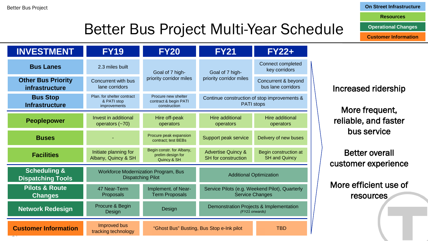#### **On Street Infrastructure**

**Resources**

**Operational Changes**

**Customer Information**

## Better Bus Project Multi-Year Schedule

| <b>INVESTMENT</b>                                   | <b>FY19</b>                                                             | <b>FY20</b>                                                                                                              | <b>FY21</b>                                                       | <b>FY22+</b>                                  |  |
|-----------------------------------------------------|-------------------------------------------------------------------------|--------------------------------------------------------------------------------------------------------------------------|-------------------------------------------------------------------|-----------------------------------------------|--|
| <b>Bus Lanes</b>                                    | 2.3 miles built                                                         | Goal of 7 high-                                                                                                          | Goal of 7 high-                                                   | Connect completed<br>key corridors            |  |
| <b>Other Bus Priority</b><br>infrastructure         | Concurrent with bus<br>lane corridors                                   | priority corridor miles                                                                                                  | priority corridor miles                                           | Concurrent & beyond<br>bus lane corridors     |  |
| <b>Bus Stop</b><br><b>Infrastructure</b>            | Plan. for shelter contract<br>& PATI stop<br>improvements               | Procure new shelter<br>contract & begin PATI<br>construction                                                             | Continue construction of stop improvements &<br><b>PATI</b> stops |                                               |  |
| <b>Peoplepower</b>                                  | Invest in additional<br>operators $(-70)$                               | <b>Hire additional</b><br>Hire off-peak<br>operators<br>operators                                                        |                                                                   | Hire additional<br>operators                  |  |
| <b>Buses</b>                                        |                                                                         | Procure peak expansion<br>contract; test BEBs                                                                            | Support peak service                                              | Delivery of new buses                         |  |
| <b>Facilities</b>                                   | Initiate planning for<br>Albany, Quincy & SH                            | Begin constr. for Albany,<br>prelim design for<br>Quincy & SH                                                            | <b>Advertise Quincy &amp;</b><br><b>SH</b> for construction       | Begin construction at<br><b>SH and Quincy</b> |  |
| <b>Scheduling &amp;</b><br><b>Dispatching Tools</b> | <b>Workforce Modernization Program, Bus</b><br><b>Dispatching Pilot</b> |                                                                                                                          | <b>Additional Optimization</b>                                    |                                               |  |
| <b>Pilots &amp; Route</b><br><b>Changes</b>         | 47 Near-Term<br>Proposals                                               | Implement. of Near-<br>Service Pilots (e.g. Weekend Pilot), Quarterly<br><b>Term Proposals</b><br><b>Service Changes</b> |                                                                   |                                               |  |
| <b>Network Redesign</b>                             | Procure & Begin<br>Design                                               | Demonstration Projects & Implementation<br>Design<br>(FY21 onwards)                                                      |                                                                   |                                               |  |
| <b>Customer Information</b>                         | <b>Improved bus</b><br>tracking technology                              | <b>TBD</b><br>"Ghost Bus" Busting, Bus Stop e-Ink pilot                                                                  |                                                                   |                                               |  |

#### Increased ridership

More frequent, reliable, and faster bus service

Better overall customer experience

More efficient use of resources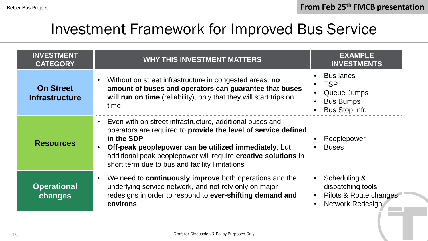### Investment Framework for Improved Bus Service

| <b>INVESTMENT</b><br><b>CATEGORY</b>      | <b>WHY THIS INVESTMENT MATTERS</b>                                                                                                                                                                                                                                                                                    | <b>EXAMPLE</b><br><b>INVESTMENTS</b>                                                       |
|-------------------------------------------|-----------------------------------------------------------------------------------------------------------------------------------------------------------------------------------------------------------------------------------------------------------------------------------------------------------------------|--------------------------------------------------------------------------------------------|
| <b>On Street</b><br><b>Infrastructure</b> | Without on street infrastructure in congested areas, no<br>amount of buses and operators can guarantee that buses<br>will run on time (reliability), only that they will start trips on<br>time                                                                                                                       | <b>Bus lanes</b><br><b>TSP</b><br>Queue Jumps<br><b>Bus Bumps</b><br><b>Bus Stop Infr.</b> |
| <b>Resources</b>                          | Even with on street infrastructure, additional buses and<br>operators are required to provide the level of service defined<br>in the SDP<br>Off-peak peoplepower can be utilized immediately, but<br>additional peak peoplepower will require creative solutions in<br>short term due to bus and facility limitations | Peoplepower<br><b>Buses</b>                                                                |
| <b>Operational</b><br>changes             | We need to <b>continuously improve</b> both operations and the<br>underlying service network, and not rely only on major<br>redesigns in order to respond to ever-shifting demand and<br>environs                                                                                                                     | • Scheduling $\&$<br>dispatching tools<br>Pilots & Route changes<br>Network Redesign       |

15 Draft for Discussion & Policy Purposes Only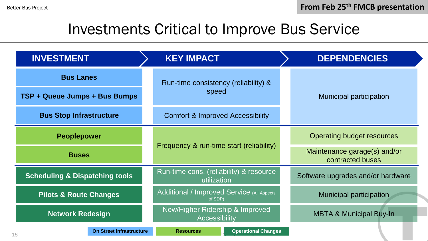### Investments Critical to Improve Bus Service

| <b>INVESTMENT</b>                         | <b>KEY IMPACT</b>                                                                            |  | <b>DEPENDENCIES</b>                              |  |
|-------------------------------------------|----------------------------------------------------------------------------------------------|--|--------------------------------------------------|--|
| <b>Bus Lanes</b>                          | Run-time consistency (reliability) &<br>speed<br><b>Comfort &amp; Improved Accessibility</b> |  |                                                  |  |
| TSP + Queue Jumps + Bus Bumps             |                                                                                              |  | Municipal participation                          |  |
| <b>Bus Stop Infrastructure</b>            |                                                                                              |  |                                                  |  |
| <b>Peoplepower</b>                        | Frequency & run-time start (reliability)                                                     |  | Operating budget resources                       |  |
| <b>Buses</b>                              |                                                                                              |  | Maintenance garage(s) and/or<br>contracted buses |  |
| <b>Scheduling &amp; Dispatching tools</b> | Run-time cons. (reliability) & resource<br>utilization                                       |  | Software upgrades and/or hardware                |  |
| <b>Pilots &amp; Route Changes</b>         | Additional / Improved Service (All Aspects<br>of SDP)                                        |  | Municipal participation                          |  |
| <b>Network Redesign</b>                   | New/Higher Ridership & Improved<br><b>Accessibility</b>                                      |  | <b>MBTA &amp; Municipal Buy-In</b>               |  |
| On Street Infrastructure<br>16            | <b>Operational Changes</b><br><b>Resources</b>                                               |  |                                                  |  |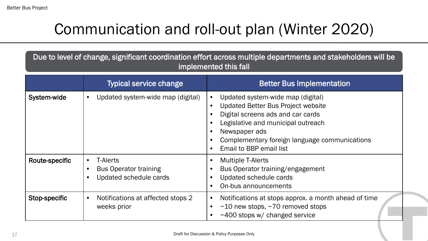## Communication and roll-out plan (Winter 2020)

Due to level of change, significant coordination effort across multiple departments and stakeholders will be implemented this fall

|                | <b>Typical service change</b>                                                                       | <b>Better Bus Implementation</b>                                                                                                                                                                                                                       |
|----------------|-----------------------------------------------------------------------------------------------------|--------------------------------------------------------------------------------------------------------------------------------------------------------------------------------------------------------------------------------------------------------|
| System-wide    | Updated system-wide map (digital)<br>$\bullet$                                                      | Updated system-wide map (digital)<br><b>Updated Better Bus Project website</b><br>Digital screens ads and car cards<br>Legislative and municipal outreach<br>Newspaper ads<br>Complementary foreign language communications<br>Email to BBP email list |
| Route-specific | <b>T-Alerts</b><br>$\bullet$<br><b>Bus Operator training</b><br>$\bullet$<br>Updated schedule cards | <b>Multiple T-Alerts</b><br>Bus Operator training/engagement<br>Updated schedule cards<br>On-bus announcements                                                                                                                                         |
| Stop-specific  | Notifications at affected stops 2<br>$\bullet$<br>weeks prior                                       | Notifications at stops approx. a month ahead of time<br>$\sim$ 10 new stops, $\sim$ 70 removed stops<br>$\sim$ 400 stops w/ changed service                                                                                                            |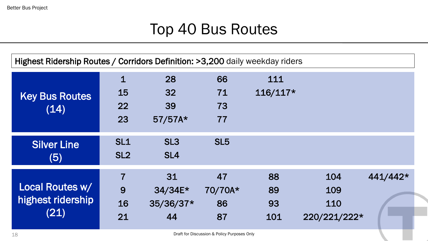### Top 40 Bus Routes

Highest Ridership Routes / Corridors Definition: >3,200 daily weekday riders

| <b>Key Bus Routes</b><br>(14)                | $\overline{1}$<br>15<br>22      | 28<br>32<br>39                     | 66<br>71<br>73            | 111<br>$116/117*$     |                                   |          |
|----------------------------------------------|---------------------------------|------------------------------------|---------------------------|-----------------------|-----------------------------------|----------|
|                                              | 23                              | $57/57A*$                          | 77                        |                       |                                   |          |
| <b>Silver Line</b><br>(5)                    | SL1<br>SL <sub>2</sub>          | SL <sub>3</sub><br>SL <sub>4</sub> | SL <sub>5</sub>           |                       |                                   |          |
| Local Routes w/<br>highest ridership<br>(21) | $\overline{7}$<br>9<br>16<br>21 | 31<br>34/34E*<br>35/36/37*<br>44   | 47<br>70/70A*<br>86<br>87 | 88<br>89<br>93<br>101 | 104<br>109<br>110<br>220/221/222* | 441/442* |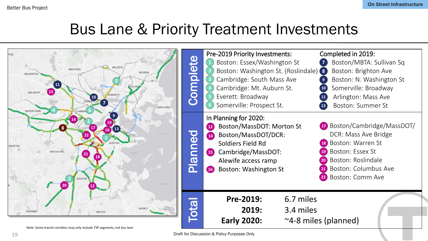### Bus Lane & Priority Treatment Investments

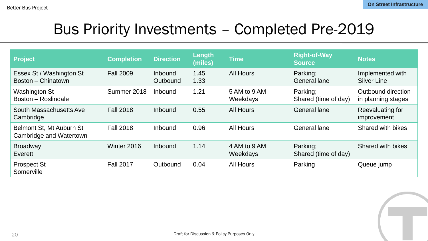### Bus Priority Investments – Completed Pre-2019

| <b>Project</b>                                      | <b>Completion</b> | <b>Direction</b>    | Length<br>(miles) | <b>Time</b>              | <b>Right-of-Way</b><br><b>Source</b> | <b>Notes</b>                             |
|-----------------------------------------------------|-------------------|---------------------|-------------------|--------------------------|--------------------------------------|------------------------------------------|
| Essex St / Washington St<br>Boston - Chinatown      | <b>Fall 2009</b>  | Inbound<br>Outbound | 1.45<br>1.33      | <b>All Hours</b>         | Parking;<br><b>General lane</b>      | Implemented with<br><b>Silver Line</b>   |
| <b>Washington St</b><br>Boston - Roslindale         | Summer 2018       | Inbound             | 1.21              | 5 AM to 9 AM<br>Weekdays | Parking;<br>Shared (time of day)     | Outbound direction<br>in planning stages |
| South Massachusetts Ave<br>Cambridge                | <b>Fall 2018</b>  | Inbound             | 0.55              | <b>All Hours</b>         | <b>General lane</b>                  | Reevaluating for<br>improvement          |
| Belmont St, Mt Auburn St<br>Cambridge and Watertown | <b>Fall 2018</b>  | Inbound             | 0.96              | <b>All Hours</b>         | <b>General lane</b>                  | <b>Shared with bikes</b>                 |
| <b>Broadway</b><br>Everett                          | Winter 2016       | Inbound             | 1.14              | 4 AM to 9 AM<br>Weekdays | Parking;<br>Shared (time of day)     | <b>Shared with bikes</b>                 |
| <b>Prospect St</b><br>Somerville                    | <b>Fall 2017</b>  | Outbound            | 0.04              | <b>All Hours</b>         | Parking                              | Queue jump                               |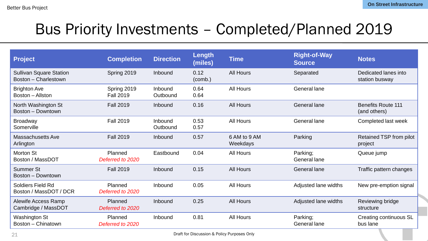### Bus Priority Investments – Completed/Planned 2019

| <b>Project</b>                                         | <b>Completion</b>               | <b>Direction</b>    | Length<br>(miles) | <b>Time</b>              | <b>Right-of-Way</b><br><b>Source</b> | <b>Notes</b>                              |
|--------------------------------------------------------|---------------------------------|---------------------|-------------------|--------------------------|--------------------------------------|-------------------------------------------|
| <b>Sullivan Square Station</b><br>Boston - Charlestown | Spring 2019                     | Inbound             | 0.12<br>(comb.)   | <b>All Hours</b>         | Separated                            | Dedicated lanes into<br>station busway    |
| <b>Brighton Ave</b><br>Boston - Allston                | Spring 2019<br><b>Fall 2019</b> | Inbound<br>Outbound | 0.64<br>0.64      | <b>All Hours</b>         | General lane                         |                                           |
| North Washington St<br>Boston - Downtown               | <b>Fall 2019</b>                | Inbound             | 0.16              | <b>All Hours</b>         | <b>General lane</b>                  | <b>Benefits Route 111</b><br>(and others) |
| <b>Broadway</b><br>Somerville                          | <b>Fall 2019</b>                | Inbound<br>Outbound | 0.53<br>0.57      | <b>All Hours</b>         | General lane                         | Completed last week                       |
| <b>Massachusetts Ave</b><br>Arlington                  | <b>Fall 2019</b>                | Inbound             | 0.57              | 6 AM to 9 AM<br>Weekdays | Parking                              | Retained TSP from pilot<br>project        |
| Morton St<br>Boston / MassDOT                          | Planned<br>Deferred to 2020     | Eastbound           | 0.04              | <b>All Hours</b>         | Parking;<br>General lane             | Queue jump                                |
| <b>Summer St</b><br>Boston - Downtown                  | <b>Fall 2019</b>                | Inbound             | 0.15              | <b>All Hours</b>         | General lane                         | Traffic pattern changes                   |
| <b>Soldiers Field Rd</b><br>Boston / MassDOT / DCR     | Planned<br>Deferred to 2020     | Inbound             | 0.05              | <b>All Hours</b>         | Adjusted lane widths                 | New pre-emption signal                    |
| Alewife Access Ramp<br>Cambridge / MassDOT             | Planned<br>Deferred to 2020     | Inbound             | 0.25              | <b>All Hours</b>         | Adjusted lane widths                 | Reviewing bridge<br>structure             |
| <b>Washington St</b><br>Boston - Chinatown             | Planned<br>Deferred to 2020     | Inbound             | 0.81              | <b>All Hours</b>         | Parking;<br>General lane             | Creating continuous SL<br>bus lane        |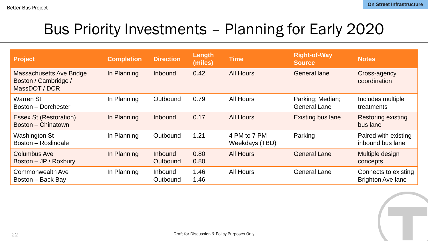### Bus Priority Investments – Planning for Early 2020

| Project                                                                  | <b>Completion</b> | <b>Direction</b>                  | Length<br>(miles) | <b>Time</b>                    | <b>Right-of-Way</b><br><b>Source</b>    | <b>Notes</b>                                     |
|--------------------------------------------------------------------------|-------------------|-----------------------------------|-------------------|--------------------------------|-----------------------------------------|--------------------------------------------------|
| <b>Massachusetts Ave Bridge</b><br>Boston / Cambridge /<br>MassDOT / DCR | In Planning       | <b>Inbound</b>                    | 0.42              | <b>All Hours</b>               | <b>General lane</b>                     | Cross-agency<br>coordination                     |
| <b>Warren St</b><br>Boston - Dorchester                                  | In Planning       | Outbound                          | 0.79              | <b>All Hours</b>               | Parking; Median;<br><b>General Lane</b> | Includes multiple<br>treatments                  |
| <b>Essex St (Restoration)</b><br>Boston - Chinatown                      | In Planning       | Inbound                           | 0.17              | <b>All Hours</b>               | <b>Existing bus lane</b>                | <b>Restoring existing</b><br>bus lane            |
| <b>Washington St</b><br>Boston - Roslindale                              | In Planning       | Outbound                          | 1.21              | 4 PM to 7 PM<br>Weekdays (TBD) | Parking                                 | Paired with existing<br>inbound bus lane         |
| <b>Columbus Ave</b><br>Boston - JP / Roxbury                             | In Planning       | <b>Inbound</b><br><b>Outbound</b> | 0.80<br>0.80      | <b>All Hours</b>               | <b>General Lane</b>                     | Multiple design<br>concepts                      |
| <b>Commonwealth Ave</b><br>Boston – Back Bay                             | In Planning       | Inbound<br>Outbound               | 1.46<br>1.46      | <b>All Hours</b>               | <b>General Lane</b>                     | Connects to existing<br><b>Brighton Ave lane</b> |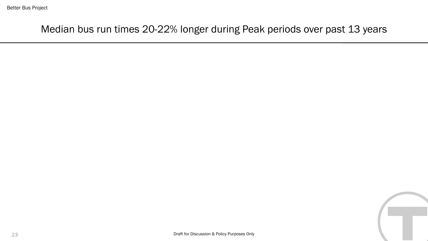Median bus run times 20-22% longer during Peak periods over past 13 years

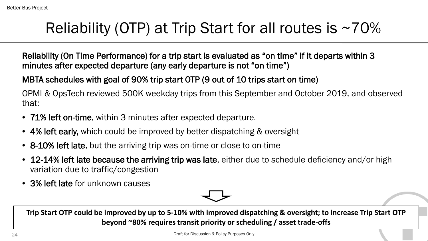### Reliability (OTP) at Trip Start for all routes is  $\sim$ 70%

Reliability (On Time Performance) for a trip start is evaluated as "on time" if it departs within 3 minutes after expected departure (any early departure is not "on time")

MBTA schedules with goal of 90% trip start OTP (9 out of 10 trips start on time)

OPMI & OpsTech reviewed 500K weekday trips from this September and October 2019, and observed that:

- 71% left on-time, within 3 minutes after expected departure.
- 4% left early, which could be improved by better dispatching & oversight
- 8-10% left late, but the arriving trip was on-time or close to on-time
- 12-14% left late because the arriving trip was late, either due to schedule deficiency and/or high variation due to traffic/congestion
- 3% left late for unknown causes



beyond ~80% requires transit priority or scheduling / asset trade-offs have passed except for GPS errors that recorded early departures **Trip Start OTP could be improved by up to 5-10% with improved dispatching & oversight; to increase Trip Start OTP**